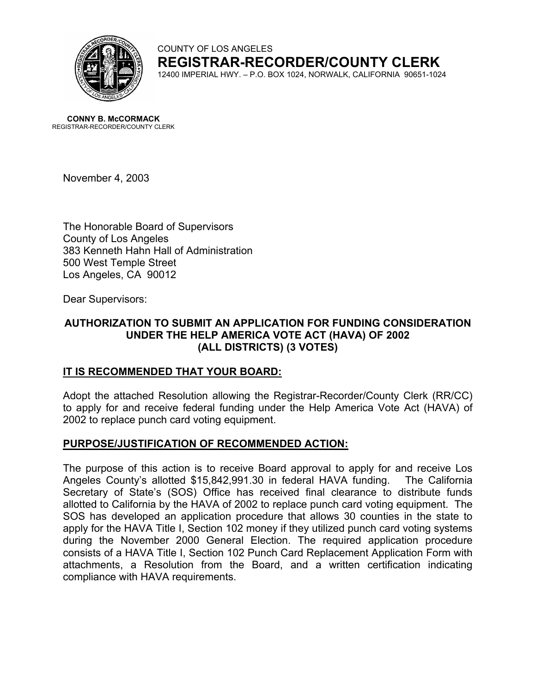

COUNTY OF LOS ANGELES **REGISTRAR-RECORDER/COUNTY CLERK** 12400 IMPERIAL HWY. – P.O. BOX 1024, NORWALK, CALIFORNIA 90651-1024

**CONNY B. McCORMACK** REGISTRAR-RECORDER/COUNTY CLERK

November 4, 2003

The Honorable Board of Supervisors County of Los Angeles 383 Kenneth Hahn Hall of Administration 500 West Temple Street Los Angeles, CA 90012

Dear Supervisors:

# **AUTHORIZATION TO SUBMIT AN APPLICATION FOR FUNDING CONSIDERATION UNDER THE HELP AMERICA VOTE ACT (HAVA) OF 2002 (ALL DISTRICTS) (3 VOTES)**

## **IT IS RECOMMENDED THAT YOUR BOARD:**

Adopt the attached Resolution allowing the Registrar-Recorder/County Clerk (RR/CC) to apply for and receive federal funding under the Help America Vote Act (HAVA) of 2002 to replace punch card voting equipment.

## **PURPOSE/JUSTIFICATION OF RECOMMENDED ACTION:**

The purpose of this action is to receive Board approval to apply for and receive Los Angeles County's allotted \$15,842,991.30 in federal HAVA funding. The California Secretary of State's (SOS) Office has received final clearance to distribute funds allotted to California by the HAVA of 2002 to replace punch card voting equipment. The SOS has developed an application procedure that allows 30 counties in the state to apply for the HAVA Title I, Section 102 money if they utilized punch card voting systems during the November 2000 General Election. The required application procedure consists of a HAVA Title I, Section 102 Punch Card Replacement Application Form with attachments, a Resolution from the Board, and a written certification indicating compliance with HAVA requirements.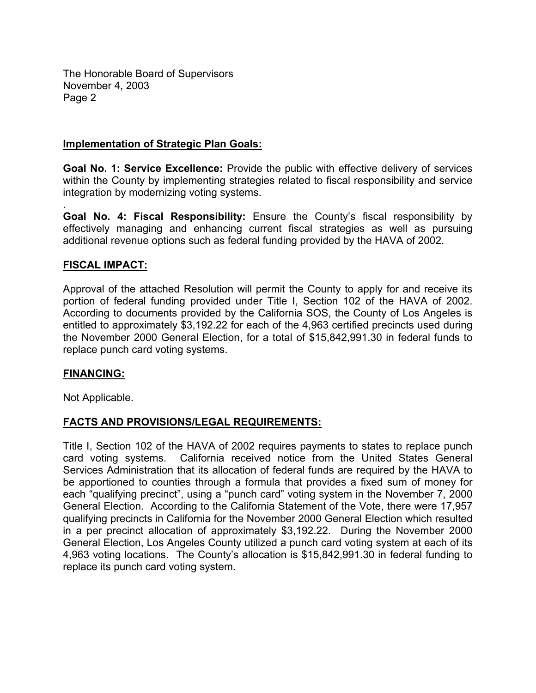The Honorable Board of Supervisors November 4, 2003 Page 2

## **Implementation of Strategic Plan Goals:**

**Goal No. 1: Service Excellence:** Provide the public with effective delivery of services within the County by implementing strategies related to fiscal responsibility and service integration by modernizing voting systems.

**Goal No. 4: Fiscal Responsibility:** Ensure the County's fiscal responsibility by effectively managing and enhancing current fiscal strategies as well as pursuing additional revenue options such as federal funding provided by the HAVA of 2002.

## **FISCAL IMPACT:**

.

Approval of the attached Resolution will permit the County to apply for and receive its portion of federal funding provided under Title I, Section 102 of the HAVA of 2002. According to documents provided by the California SOS, the County of Los Angeles is entitled to approximately \$3,192.22 for each of the 4,963 certified precincts used during the November 2000 General Election, for a total of \$15,842,991.30 in federal funds to replace punch card voting systems.

## **FINANCING:**

Not Applicable.

## **FACTS AND PROVISIONS/LEGAL REQUIREMENTS:**

Title I, Section 102 of the HAVA of 2002 requires payments to states to replace punch card voting systems. California received notice from the United States General Services Administration that its allocation of federal funds are required by the HAVA to be apportioned to counties through a formula that provides a fixed sum of money for each "qualifying precinct", using a "punch card" voting system in the November 7, 2000 General Election. According to the California Statement of the Vote, there were 17,957 qualifying precincts in California for the November 2000 General Election which resulted in a per precinct allocation of approximately \$3,192.22. During the November 2000 General Election, Los Angeles County utilized a punch card voting system at each of its 4,963 voting locations. The County's allocation is \$15,842,991.30 in federal funding to replace its punch card voting system.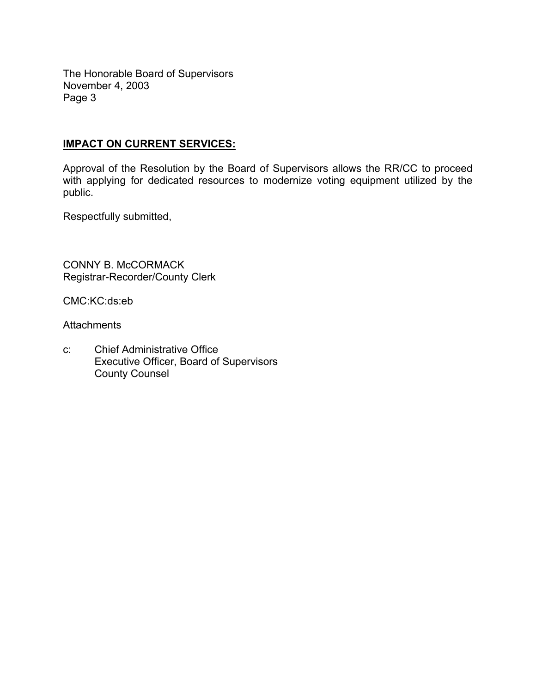The Honorable Board of Supervisors November 4, 2003 Page 3

# **IMPACT ON CURRENT SERVICES:**

Approval of the Resolution by the Board of Supervisors allows the RR/CC to proceed with applying for dedicated resources to modernize voting equipment utilized by the public.

Respectfully submitted,

CONNY B. McCORMACK Registrar-Recorder/County Clerk

CMC:KC:ds:eb

**Attachments** 

c: Chief Administrative Office Executive Officer, Board of Supervisors County Counsel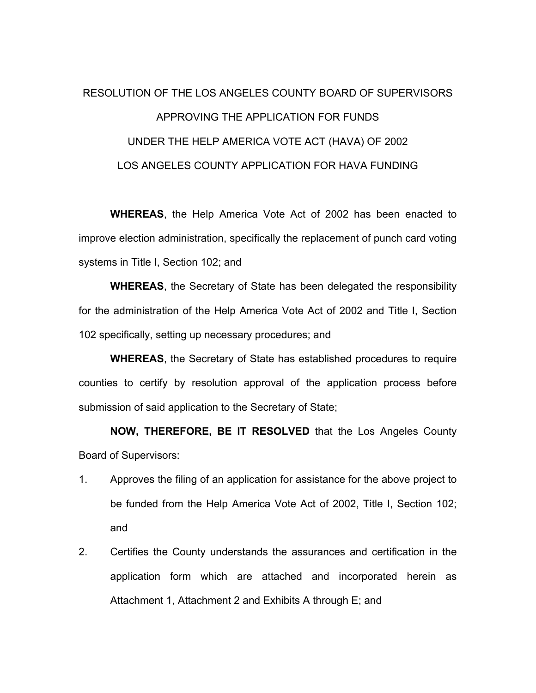# RESOLUTION OF THE LOS ANGELES COUNTY BOARD OF SUPERVISORS APPROVING THE APPLICATION FOR FUNDS UNDER THE HELP AMERICA VOTE ACT (HAVA) OF 2002 LOS ANGELES COUNTY APPLICATION FOR HAVA FUNDING

**WHEREAS**, the Help America Vote Act of 2002 has been enacted to improve election administration, specifically the replacement of punch card voting systems in Title I, Section 102; and

**WHEREAS**, the Secretary of State has been delegated the responsibility for the administration of the Help America Vote Act of 2002 and Title I, Section 102 specifically, setting up necessary procedures; and

**WHEREAS**, the Secretary of State has established procedures to require counties to certify by resolution approval of the application process before submission of said application to the Secretary of State;

**NOW, THEREFORE, BE IT RESOLVED** that the Los Angeles County Board of Supervisors:

- 1. Approves the filing of an application for assistance for the above project to be funded from the Help America Vote Act of 2002, Title I, Section 102; and
- 2. Certifies the County understands the assurances and certification in the application form which are attached and incorporated herein as Attachment 1, Attachment 2 and Exhibits A through E; and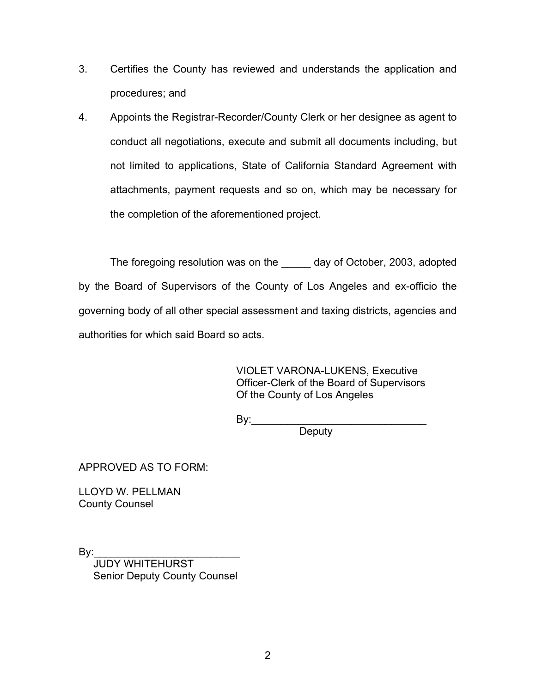- 3. Certifies the County has reviewed and understands the application and procedures; and
- 4. Appoints the Registrar-Recorder/County Clerk or her designee as agent to conduct all negotiations, execute and submit all documents including, but not limited to applications, State of California Standard Agreement with attachments, payment requests and so on, which may be necessary for the completion of the aforementioned project.

The foregoing resolution was on the day of October, 2003, adopted by the Board of Supervisors of the County of Los Angeles and ex-officio the governing body of all other special assessment and taxing districts, agencies and authorities for which said Board so acts.

> VIOLET VARONA-LUKENS, Executive Officer-Clerk of the Board of Supervisors Of the County of Los Angeles

By:\_\_\_\_\_\_\_\_\_\_\_\_\_\_\_\_\_\_\_\_\_\_\_\_\_\_\_\_\_\_

**Deputy** 

APPROVED AS TO FORM:

LLOYD W. PELLMAN County Counsel

By:\_\_\_\_\_\_\_\_\_\_\_\_\_\_\_\_\_\_\_\_\_\_\_\_\_ JUDY WHITEHURST Senior Deputy County Counsel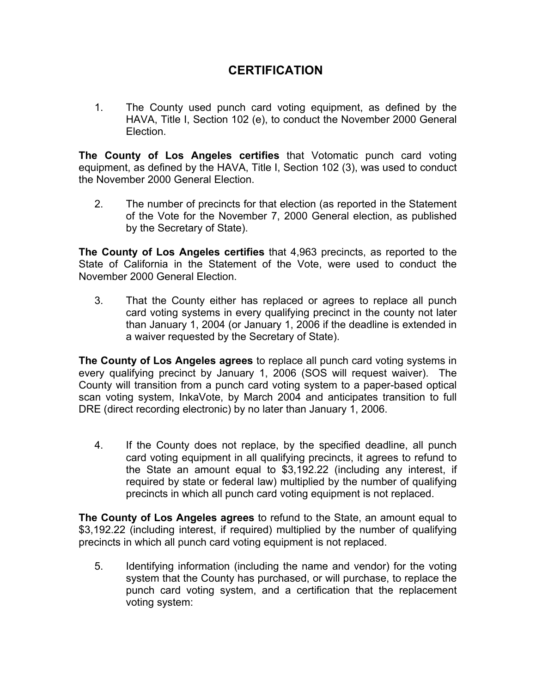# **CERTIFICATION**

1. The County used punch card voting equipment, as defined by the HAVA, Title I, Section 102 (e), to conduct the November 2000 General Election.

**The County of Los Angeles certifies** that Votomatic punch card voting equipment, as defined by the HAVA, Title I, Section 102 (3), was used to conduct the November 2000 General Election.

2. The number of precincts for that election (as reported in the Statement of the Vote for the November 7, 2000 General election, as published by the Secretary of State).

**The County of Los Angeles certifies** that 4,963 precincts, as reported to the State of California in the Statement of the Vote, were used to conduct the November 2000 General Election.

3. That the County either has replaced or agrees to replace all punch card voting systems in every qualifying precinct in the county not later than January 1, 2004 (or January 1, 2006 if the deadline is extended in a waiver requested by the Secretary of State).

**The County of Los Angeles agrees** to replace all punch card voting systems in every qualifying precinct by January 1, 2006 (SOS will request waiver). The County will transition from a punch card voting system to a paper-based optical scan voting system, InkaVote, by March 2004 and anticipates transition to full DRE (direct recording electronic) by no later than January 1, 2006.

4. If the County does not replace, by the specified deadline, all punch card voting equipment in all qualifying precincts, it agrees to refund to the State an amount equal to \$3,192.22 (including any interest, if required by state or federal law) multiplied by the number of qualifying precincts in which all punch card voting equipment is not replaced.

**The County of Los Angeles agrees** to refund to the State, an amount equal to \$3,192.22 (including interest, if required) multiplied by the number of qualifying precincts in which all punch card voting equipment is not replaced.

5. Identifying information (including the name and vendor) for the voting system that the County has purchased, or will purchase, to replace the punch card voting system, and a certification that the replacement voting system: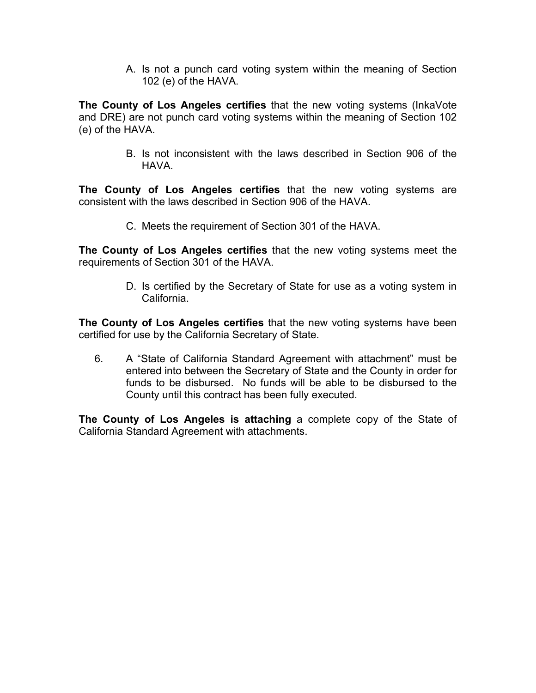A. Is not a punch card voting system within the meaning of Section 102 (e) of the HAVA.

**The County of Los Angeles certifies** that the new voting systems (InkaVote and DRE) are not punch card voting systems within the meaning of Section 102 (e) of the HAVA.

> B. Is not inconsistent with the laws described in Section 906 of the HAVA.

**The County of Los Angeles certifies** that the new voting systems are consistent with the laws described in Section 906 of the HAVA.

C. Meets the requirement of Section 301 of the HAVA.

**The County of Los Angeles certifies** that the new voting systems meet the requirements of Section 301 of the HAVA.

> D. Is certified by the Secretary of State for use as a voting system in California.

**The County of Los Angeles certifies** that the new voting systems have been certified for use by the California Secretary of State.

6. A "State of California Standard Agreement with attachment" must be entered into between the Secretary of State and the County in order for funds to be disbursed. No funds will be able to be disbursed to the County until this contract has been fully executed.

**The County of Los Angeles is attaching** a complete copy of the State of California Standard Agreement with attachments.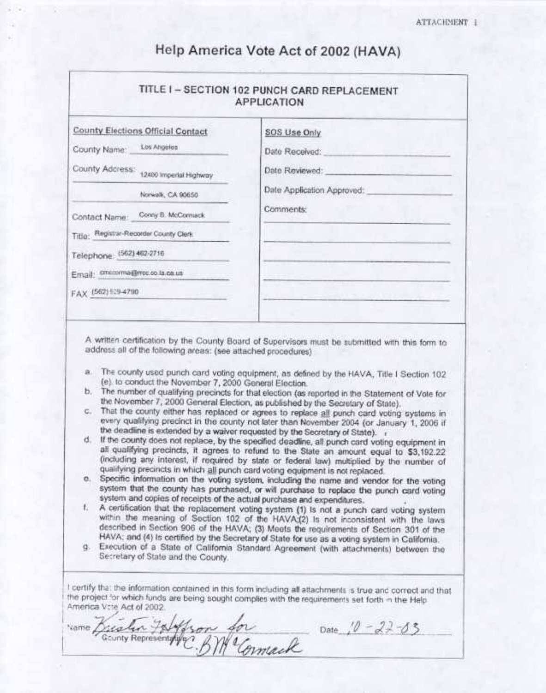| Help America Vote Act of 2002 (HAVA) |  |  |  |
|--------------------------------------|--|--|--|
|--------------------------------------|--|--|--|

| <b>County Elections Official Contact</b> | SOS Use Only               |
|------------------------------------------|----------------------------|
| County Name: Los Angeles                 | Date Received:             |
| County Address: 12400 Imperial Highway   | Date Reviewed:             |
| Norwalk, CA 90650                        | Date Application Approved: |
| Contact Name: Conry B. McComack          | Comments:                  |
| Title: Registrar-Recorder County Clerk   |                            |
| Telephone: (562) 462-2716                |                            |
| Email: crecoma@ncc.co.ta.ca.us           |                            |
| FAX (562) 539-4790                       |                            |

A written certification by the County Board of Supervisors must be submitted with this form to address all of the following areas: (see attached procedures)

- a. The county used punch card voting equipment, as defined by the HAVA, Title I Section 102 (e) to conduct the November 7, 2000 General Election.
- b. The number of qualifying precincts for that election (as reported in the Statement of Vote for the November 7, 2000 General Election, as published by the Secretary of State).
- c. That the county either has replaced or agrees to replace all punch card voting systems in every qualifying precinct in the county not later than November 2004 (or January 1, 2006 if the deadline is extended by a waiver requested by the Secretary of State). in
- If the county does not replace, by the specified deadline, all punch card voting equipment in d. all qualifying precincts, it agrees to refund to the State an amount equal to \$3,192.22. (including any interest, if required by state or federal law) multiplied by the number of qualifying precincts in which all punch card voting equipment is not replaced.
- e. Specific information on the voting system, including the name and vendor for the voting system that the county has purchased, or will purchase to replace the punch card voting system and copies of receipts of the actual purchase and expenditures.
- ŧ. A certification that the replacement voting system (1) is not a punch card voting system within the meaning of Section 102 of the HAVA;(2) Is not inconsistent with the laws described in Section 906 of the HAVA; (3) Meets the requirements of Section 301 of the HAVA; and (4) is certified by the Secretary of State for use as a voting system in California.
- g. Execution of a State of California Standard Agreement (with attachments) between the Secretary of State and the County.

I certify that the information contained in this form including all attachments is true and correct and that the project for which funds are being sought complies with the requirements set forth in the Help America Vote Act of 2002.

rame Diction Falffron for Date 10-22-03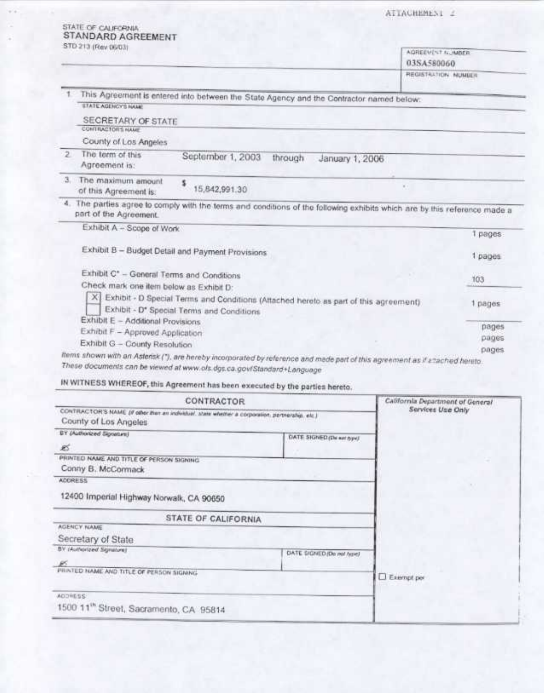ATTACHEMENT 2

|                     | STD 213 (Rev 06/03)                                                                             |                     |                                                                                                                              | AGREEVENT NUMBER<br>03SA580060   |         |
|---------------------|-------------------------------------------------------------------------------------------------|---------------------|------------------------------------------------------------------------------------------------------------------------------|----------------------------------|---------|
|                     |                                                                                                 |                     |                                                                                                                              | REGISTRATION NUMBER              |         |
|                     |                                                                                                 |                     |                                                                                                                              |                                  |         |
|                     | <b>ETATE AGENCY'S NAME</b>                                                                      |                     | This Agreement is entered into between the State Agency and the Contractor named below:                                      |                                  |         |
|                     | SECRETARY OF STATE<br>CONTRACTORS NAME                                                          |                     |                                                                                                                              |                                  |         |
|                     | County of Los Angeles                                                                           |                     |                                                                                                                              |                                  |         |
| $\overline{2}$      | The term of this<br>Agreement is:                                                               | September 1, 2003   | through<br>January 1, 2006                                                                                                   |                                  |         |
| з.                  | The maximum amount<br>of this Agreement is:                                                     | s<br>15,842,991.30  |                                                                                                                              |                                  |         |
|                     | part of the Agreement.                                                                          |                     | 4. The parties agree to comply with the terms and conditions of the following exhibits which are by this reference made a    |                                  |         |
|                     | Exhibit A - Scope of Work                                                                       |                     |                                                                                                                              |                                  | 1 pages |
|                     | Exhibit B - Budget Detail and Payment Provisions                                                |                     |                                                                                                                              |                                  | 1 pages |
|                     | Exhibit C* - General Terms and Conditions                                                       |                     |                                                                                                                              |                                  | 103     |
|                     | Check mark one item below as Exhibit D:                                                         |                     |                                                                                                                              |                                  |         |
|                     | ×ı                                                                                              |                     | Exhibit - D Special Terms and Conditions (Attached hereto as part of this agreement)                                         |                                  | 1 pages |
|                     | Exhibit - D* Special Terms and Conditions                                                       |                     |                                                                                                                              |                                  |         |
|                     |                                                                                                 |                     |                                                                                                                              |                                  |         |
|                     | Exhibit E - Additional Provisions                                                               |                     |                                                                                                                              |                                  | pages   |
|                     | Exhibit F - Approved Application                                                                |                     |                                                                                                                              |                                  | pages   |
|                     | Exhibit G - County Resolution                                                                   |                     |                                                                                                                              |                                  | pages   |
|                     | These documents can be viewed at www.ols.dgs.ca.gov/Standard+Language                           |                     | Items shown with an Astensk ("), are hereby incorporated by reference and made part of this agreement as if attached hereto. |                                  |         |
|                     | IN WITNESS WHEREOF, this Agreement has been executed by the parties hereto.                     |                     |                                                                                                                              |                                  |         |
|                     |                                                                                                 | CONTRACTOR          |                                                                                                                              | California Department of General |         |
|                     | CONTRACTOR'S NAME (if other than an individual, state whether a corporation, pertnership, etc.) |                     |                                                                                                                              | Services Use Only                |         |
|                     | County of Los Angeles                                                                           |                     |                                                                                                                              |                                  |         |
|                     | BY (Authorized Signature)                                                                       |                     | DATE SIGNED (De ear type)                                                                                                    |                                  |         |
|                     |                                                                                                 |                     |                                                                                                                              |                                  |         |
|                     | PRINTED NAME AND TITLE OF PERSON SIGNING                                                        |                     |                                                                                                                              |                                  |         |
|                     | Conny B. McCormack                                                                              |                     |                                                                                                                              |                                  |         |
|                     |                                                                                                 |                     |                                                                                                                              |                                  |         |
|                     | 12400 Imperial Highway Norwalk, CA 90650                                                        |                     |                                                                                                                              |                                  |         |
| B<br><b>ADDRESS</b> |                                                                                                 | STATE OF CALIFORNIA |                                                                                                                              |                                  |         |
|                     | AGENCY NAME                                                                                     |                     |                                                                                                                              |                                  |         |
|                     | Secretary of State                                                                              |                     |                                                                                                                              |                                  |         |
|                     | BY (Authorized Signature)                                                                       |                     | DATE SIGNED (De not type)                                                                                                    |                                  |         |
|                     |                                                                                                 |                     |                                                                                                                              |                                  |         |
|                     | PRINTED NAME AND TITLE OF PERSON SIGNING.                                                       |                     |                                                                                                                              | Exempt per                       |         |
| ADDRESS:            |                                                                                                 |                     |                                                                                                                              |                                  |         |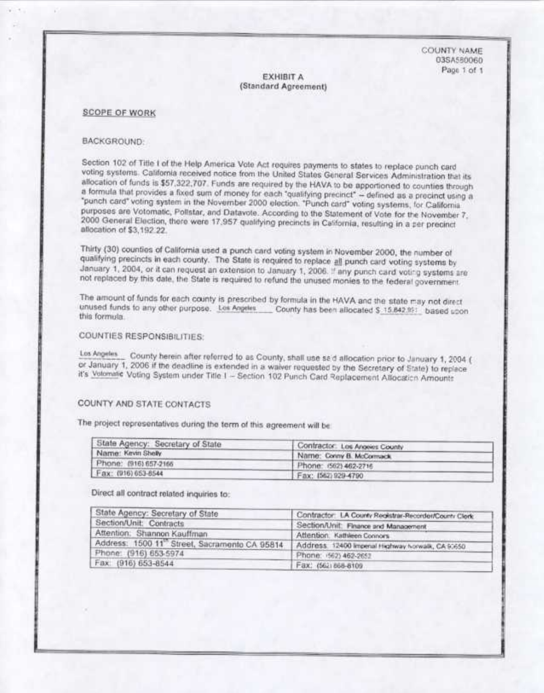COUNTY NAME 03SA55006D Page 1 of 1

#### **EXHIBIT A** (Standard Agreement)

#### **SCOPE OF WORK**

#### BACKGROUND:

Section 102 of Title I of the Help America Vote Act requires payments to states to replace punch card voting systems. California received notice from the United States General Services Administration that its allocation of funds is \$57,322,707. Funds are required by the HAVA to be apportioned to counties through a formula that provides a fixed sum of money for each "qualifying precinct" - defined as a precinct using a "punch card" voting system in the November 2000 election. "Punch card" voting systems, for California purposes are Votomatic, Pollstar, and Datavote. According to the Statement of Vote for the November 7. 2000 General Election, there were 17,957 qualifying precincts in California, resulting in a per precinct allocation of \$3,192.22.

Thirty (30) counties of California used a punch card voting system in November 2000, the number of qualifying precincts in each county. The State is required to replace all punch card voting systems by January 1, 2004, or it can request an extension to January 1, 2006. If any punch card voting systems are not replaced by this date, the State is required to refund the unused monies to the federal government.

The amount of funds for each county is prescribed by formula in the HAVA and the state may not direct unused funds to any other purpose. Los Angeles \_\_\_\_ County has been allocated \$ 15.842.991 based upon this formula.

#### COUNTIES RESPONSIBILITIES:

Los Angeles County herein after referred to as County, shall use said allocation prior to January 1, 2004 ( or January 1, 2006 if the deadline is extended in a waiver requested by the Secretary of State) to replace it's Volomatic Voting System under Title I - Section 102 Punch Card Replacement Allocation Amounts

## COUNTY AND STATE CONTACTS

The project representatives during the term of this agreement will be

| State Agency: Secretary of State | Contractor: Los Angeles County |  |
|----------------------------------|--------------------------------|--|
| Name: Kevin Shelly               | Name: Conny B. McCornuck       |  |
| Phone: (916) 657-2166            | Phone: (562) 462-2716          |  |
| Fax: (916) 653-8544              | Fax: (562) 929-4790            |  |

Direct all contract related inquiries to:

| State Agency: Secretary of State                                                                  | Contractor: LA County Registrar-Recorden/County Clock |
|---------------------------------------------------------------------------------------------------|-------------------------------------------------------|
| Section/Unit: Contracts                                                                           | Section/Unit: Finance and Management                  |
| Attention: Shannon Kauffman                                                                       | Attention. Kathleen Connors                           |
| Address: 1500 11" Street, Sacramento CA 95814   Address: 12400 Imperial Highway Norwalk, CA 95650 |                                                       |
| Phone: (916) 653-5974                                                                             | Phone: (562) 462-2652                                 |
| Fax: (916) 653-8544                                                                               | Fax: (562) 868-8109                                   |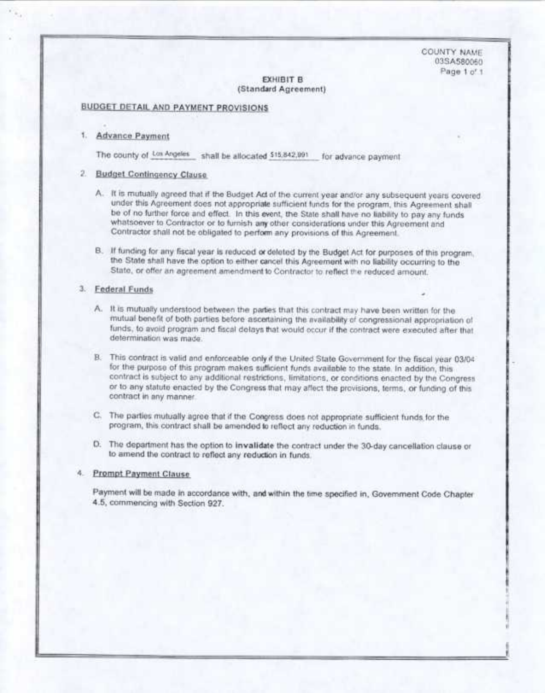**COUNTY NAME** 03SA580060 Page 1 o' 1

#### **EXHIBIT B** (Standard Agreement)

### **BUDGET DETAIL AND PAYMENT PROVISIONS**

#### 1. Advance Payment

The county of Los Angeles shall be allocated \$15,842,991 for advance payment

#### 2. Budget Contingency Clause

- A. It is mutually agreed that if the Budget Act of the current year and/or any subsequent years covered under this Agreement does not appropriate sufficient funds for the program, this Agreement shall be of no further force and effect. In this event, the State shall have no liability to pay any funds whatsoever to Contractor or to furnish any other considerations under this Agreement and Contractor shall not be obligated to perform any provisions of this Agreement.
- B. If funding for any fiscal year is reduced or deleted by the Budget Act for purposes of this program. the State shall have the option to either cancel this Agreement with no liability occurring to the State, or offer an agreement amendment to Contractor to reflect the reduced amount.

#### 3. Federal Funds

- A. It is mutually understood between the parties that this contract may have been written for the mutual benefit of both parties before ascertaining the availability of congressional appropriation of funds, to avoid program and fiscal delays that would occur if the contract were executed after that determination was made.
- B. This contract is valid and enforceable only if the United State Government for the fiscal year 03/04 for the purpose of this program makes sufficient funds available to the state. In addition, this contract is subject to any additional restrictions, limitations, or conditions enacted by the Congress or to any statute enacted by the Congress that may affect the provisions, terms, or funding of this contract in any manner.
- C. The parties mutually agree that if the Congress does not appropriate sufficient funds for the program, this contract shall be amended to reflect any reduction in funds.
- D. The department has the option to invalidate the contract under the 30-day cancellation clause or to amend the contract to reflect any reduction in funds.

#### 4. Prompt Payment Clause

Payment will be made in accordance with, and within the time specified in, Government Code Chapter 4.5, commencing with Section 927.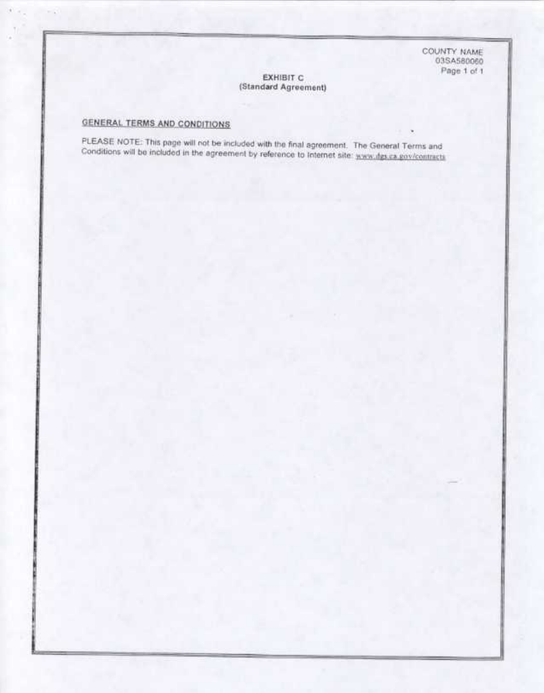COUNTY NAME 03SA580060 Page 1 of 1

#### EXHIBIT C (Standard Agreement)

# GENERAL TERMS AND CONDITIONS

PLEASE NOTE: This page will not be included with the final agreement. The General Terms and Conditions will be included in the agreement by reference to Internet site: www.dgs.ca.gov/contracts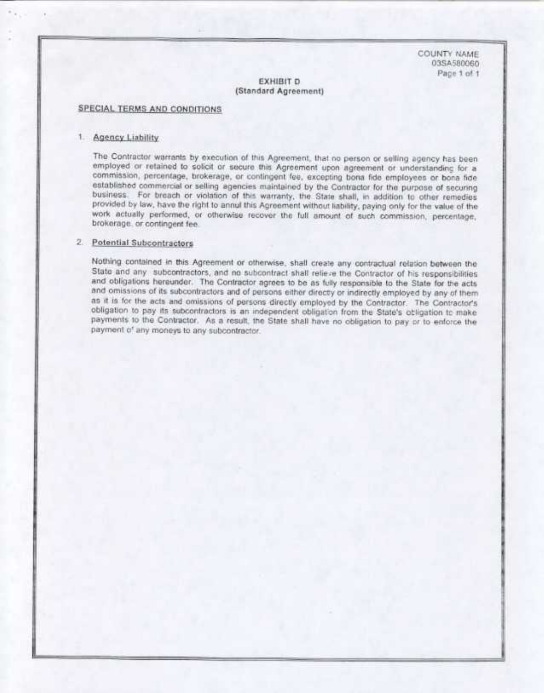COUNTY NAME 03SA580060 Page 1 of 1

#### **EXHIBIT D** (Standard Agreement)

#### SPECIAL TERMS AND CONDITIONS

#### 1. Agency Liability

The Contractor warrants by execution of this Agreement, that no person or selling agency has been employed or retained to solicit or secure this Agreement upon agreement or understanding for a commission, percentage, brokerage, or contingent fee, excepting bona fide employees or bona fide established commercial or selling agencies maintained by the Contractor for the purpose of securing business. For breach or violation of this warranty, the State shall, in addition to other remedies provided by law, have the right to annul this Agreement without liability, paying only for the value of the work actually performed, or otherwise recover the full amount of such commission, percentage, brokerage, or contingent fee.

## 2. Potential Subcontractors

Nothing contained in this Agreement or otherwise, shall create any contractual relation between the State and any subcontractors, and no subcontract shall relieve the Contractor of his responsibilities and obligations hereunder. The Contractor agrees to be as fully responsible to the State for the acts and omissions of its subcontractors and of persons either directy or indirectly employed by any of them as it is for the acts and omissions of persons directly employed by the Contractor. The Contractor's obligation to pay its subcontractors is an independent obligation from the State's obligation to make payments to the Contractor. As a result, the State shall have no obligation to pay or to enforce the payment of any moneys to any subcontractor.